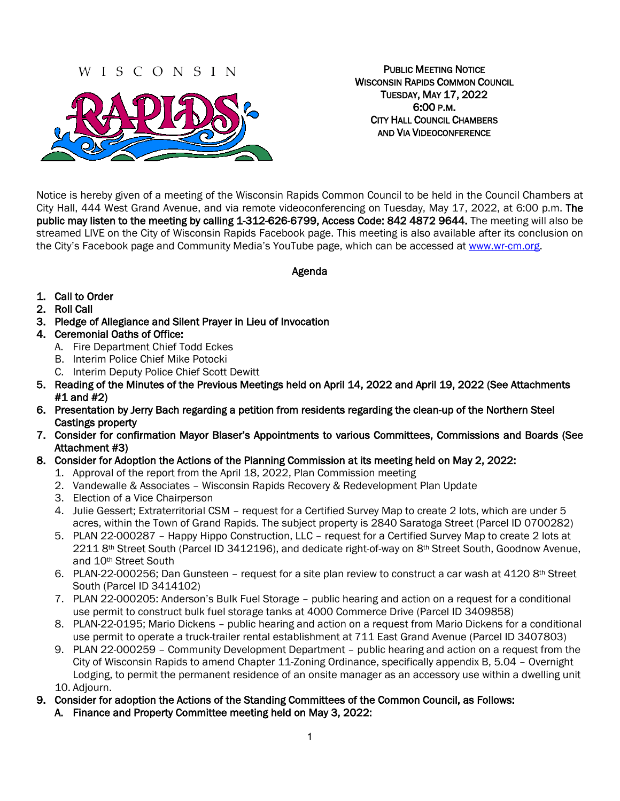# WISCONSIN



#### PUBLIC MEETING NOTICE WISCONSIN RAPIDS COMMON COUNCIL TUESDAY, MAY 17, 2022 6:00 P.M. CITY HALL COUNCIL CHAMBERS AND VIA VIDEOCONFERENCE

Notice is hereby given of a meeting of the Wisconsin Rapids Common Council to be held in the Council Chambers at City Hall, 444 West Grand Avenue, and via remote videoconferencing on Tuesday, May 17, 2022, at 6:00 p.m. The public may listen to the meeting by calling 1-312-626-6799, Access Code: 842 4872 9644. The meeting will also be streamed LIVE on the City of Wisconsin Rapids Facebook page. This meeting is also available after its conclusion on the City's Facebook page and Community Media's YouTube page, which can be accessed at [www.wr-cm.org.](http://www.wr-cm.org/)

Agenda

- 1. Call to Order
- 2. Roll Call
- 3. Pledge of Allegiance and Silent Prayer in Lieu of Invocation
- 4. Ceremonial Oaths of Office:
	- A. Fire Department Chief Todd Eckes
	- B. Interim Police Chief Mike Potocki
	- C. Interim Deputy Police Chief Scott Dewitt
- 5. Reading of the Minutes of the Previous Meetings held on April 14, 2022 and April 19, 2022 (See Attachments  $#1$  and  $#2)$
- 6. Presentation by Jerry Bach regarding a petition from residents regarding the clean-up of the Northern Steel Castings property
- 7. Consider for confirmation Mayor Blaser's Appointments to various Committees, Commissions and Boards (See Attachment #3)
- 8. Consider for Adoption the Actions of the Planning Commission at its meeting held on May 2, 2022:
	- 1. Approval of the report from the April 18, 2022, Plan Commission meeting
	- 2. Vandewalle & Associates Wisconsin Rapids Recovery & Redevelopment Plan Update
	- 3. Election of a Vice Chairperson
	- 4. Julie Gessert; Extraterritorial CSM request for a Certified Survey Map to create 2 lots, which are under 5 acres, within the Town of Grand Rapids. The subject property is 2840 Saratoga Street (Parcel ID 0700282)
	- 5. PLAN 22-000287 Happy Hippo Construction, LLC request for a Certified Survey Map to create 2 lots at 2211 8th Street South (Parcel ID 3412196), and dedicate right-of-way on 8th Street South, Goodnow Avenue, and 10th Street South
	- 6. PLAN-22-000256; Dan Gunsteen request for a site plan review to construct a car wash at 4120 8th Street South (Parcel ID 3414102)
	- 7. PLAN 22-000205: Anderson's Bulk Fuel Storage public hearing and action on a request for a conditional use permit to construct bulk fuel storage tanks at 4000 Commerce Drive (Parcel ID 3409858)
	- 8. PLAN-22-0195; Mario Dickens public hearing and action on a request from Mario Dickens for a conditional use permit to operate a truck-trailer rental establishment at 711 East Grand Avenue (Parcel ID 3407803)
	- 9. PLAN 22-000259 Community Development Department public hearing and action on a request from the City of Wisconsin Rapids to amend Chapter 11-Zoning Ordinance, specifically appendix B, 5.04 – Overnight Lodging, to permit the permanent residence of an onsite manager as an accessory use within a dwelling unit 10. Adjourn.
- 9. Consider for adoption the Actions of the Standing Committees of the Common Council, as Follows:
	- A. Finance and Property Committee meeting held on May 3, 2022: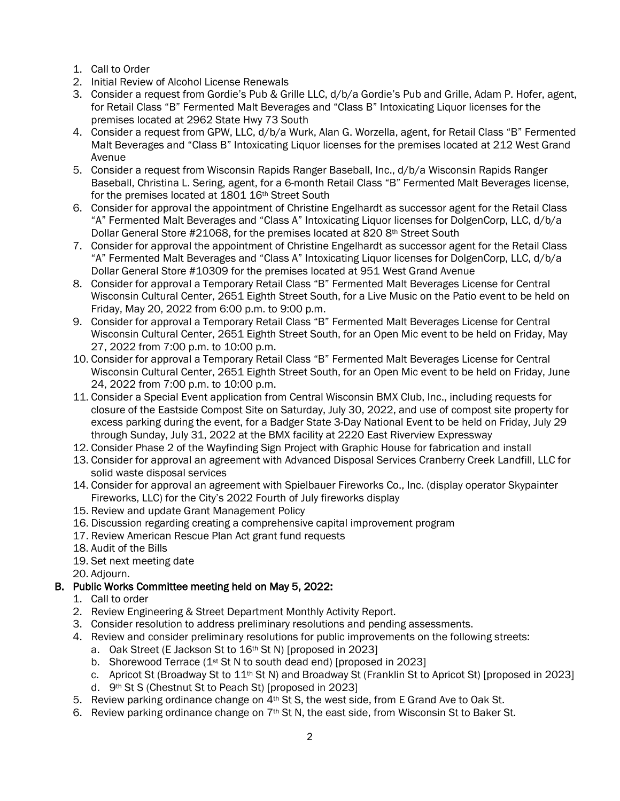- 1. Call to Order
- 2. Initial Review of Alcohol License Renewals
- 3. Consider a request from Gordie's Pub & Grille LLC, d/b/a Gordie's Pub and Grille, Adam P. Hofer, agent, for Retail Class "B" Fermented Malt Beverages and "Class B" Intoxicating Liquor licenses for the premises located at 2962 State Hwy 73 South
- 4. Consider a request from GPW, LLC, d/b/a Wurk, Alan G. Worzella, agent, for Retail Class "B" Fermented Malt Beverages and "Class B" Intoxicating Liquor licenses for the premises located at 212 West Grand Avenue
- 5. Consider a request from Wisconsin Rapids Ranger Baseball, Inc., d/b/a Wisconsin Rapids Ranger Baseball, Christina L. Sering, agent, for a 6-month Retail Class "B" Fermented Malt Beverages license, for the premises located at 1801 16th Street South
- 6. Consider for approval the appointment of Christine Engelhardt as successor agent for the Retail Class "A" Fermented Malt Beverages and "Class A" Intoxicating Liquor licenses for DolgenCorp, LLC, d/b/a Dollar General Store #21068, for the premises located at 820 8th Street South
- 7. Consider for approval the appointment of Christine Engelhardt as successor agent for the Retail Class "A" Fermented Malt Beverages and "Class A" Intoxicating Liquor licenses for DolgenCorp, LLC, d/b/a Dollar General Store #10309 for the premises located at 951 West Grand Avenue
- 8. Consider for approval a Temporary Retail Class "B" Fermented Malt Beverages License for Central Wisconsin Cultural Center, 2651 Eighth Street South, for a Live Music on the Patio event to be held on Friday, May 20, 2022 from 6:00 p.m. to 9:00 p.m.
- 9. Consider for approval a Temporary Retail Class "B" Fermented Malt Beverages License for Central Wisconsin Cultural Center, 2651 Eighth Street South, for an Open Mic event to be held on Friday, May 27, 2022 from 7:00 p.m. to 10:00 p.m.
- 10. Consider for approval a Temporary Retail Class "B" Fermented Malt Beverages License for Central Wisconsin Cultural Center, 2651 Eighth Street South, for an Open Mic event to be held on Friday, June 24, 2022 from 7:00 p.m. to 10:00 p.m.
- 11. Consider a Special Event application from Central Wisconsin BMX Club, Inc., including requests for closure of the Eastside Compost Site on Saturday, July 30, 2022, and use of compost site property for excess parking during the event, for a Badger State 3-Day National Event to be held on Friday, July 29 through Sunday, July 31, 2022 at the BMX facility at 2220 East Riverview Expressway
- 12. Consider Phase 2 of the Wayfinding Sign Project with Graphic House for fabrication and install
- 13. Consider for approval an agreement with Advanced Disposal Services Cranberry Creek Landfill, LLC for solid waste disposal services
- 14. Consider for approval an agreement with Spielbauer Fireworks Co., Inc. (display operator Skypainter Fireworks, LLC) for the City's 2022 Fourth of July fireworks display
- 15. Review and update Grant Management Policy
- 16. Discussion regarding creating a comprehensive capital improvement program
- 17. Review American Rescue Plan Act grant fund requests
- 18. Audit of the Bills
- 19. Set next meeting date
- 20. Adjourn.
- B. Public Works Committee meeting held on May 5, 2022:
	- 1. Call to order
	- 2. Review Engineering & Street Department Monthly Activity Report.
	- 3. Consider resolution to address preliminary resolutions and pending assessments.
	- 4. Review and consider preliminary resolutions for public improvements on the following streets:
		- a. Oak Street (E Jackson St to 16th St N) [proposed in 2023]
		- b. Shorewood Terrace (1<sup>st</sup> St N to south dead end) [proposed in 2023]
		- c. Apricot St (Broadway St to 11<sup>th</sup> St N) and Broadway St (Franklin St to Apricot St) [proposed in 2023]
		- d. 9th St S (Chestnut St to Peach St) [proposed in 2023]
	- 5. Review parking ordinance change on 4<sup>th</sup> St S, the west side, from E Grand Ave to Oak St.
	- 6. Review parking ordinance change on 7<sup>th</sup> St N, the east side, from Wisconsin St to Baker St.